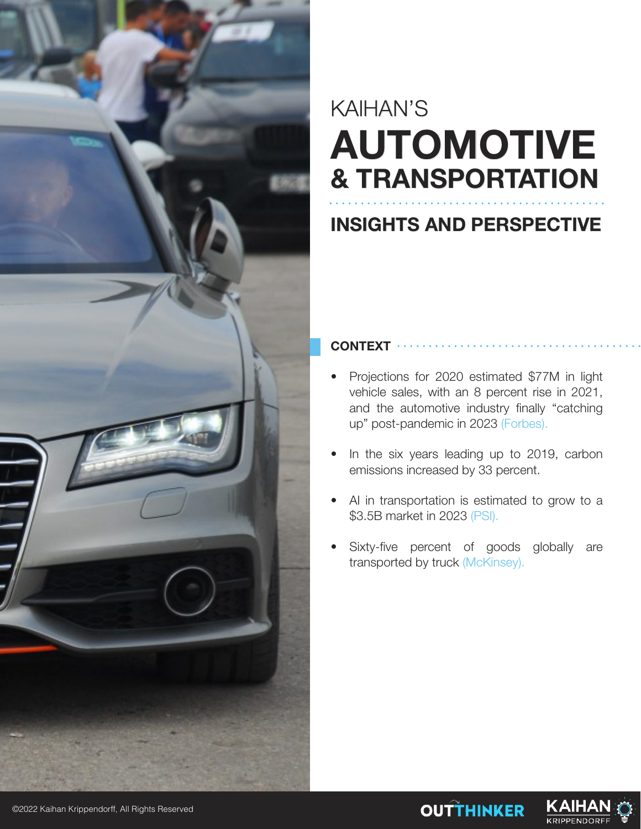

## KAIHAN'S **AUTOMOTIVE & TRANSPORTATION**

### **INSIGHTS AND PERSPECTIVE**

#### **CONTEXT**

- Projections for 2020 estimated \$77M in light vehicle sales, with an 8 percent rise in 2021, and the automotive industry finally "catching up" post-pandemic in 2023 (Forbes).
- In the six years leading up to 2019, carbon emissions increased by 33 percent.
- AI in transportation is estimated to grow to a \$3.5B market in 2023 (PSI).
- Sixty-five percent of goods globally are transported by truck (McKinsey).

**OUTTHINKER** 

KAIHA

**KRIPPENDORF** 

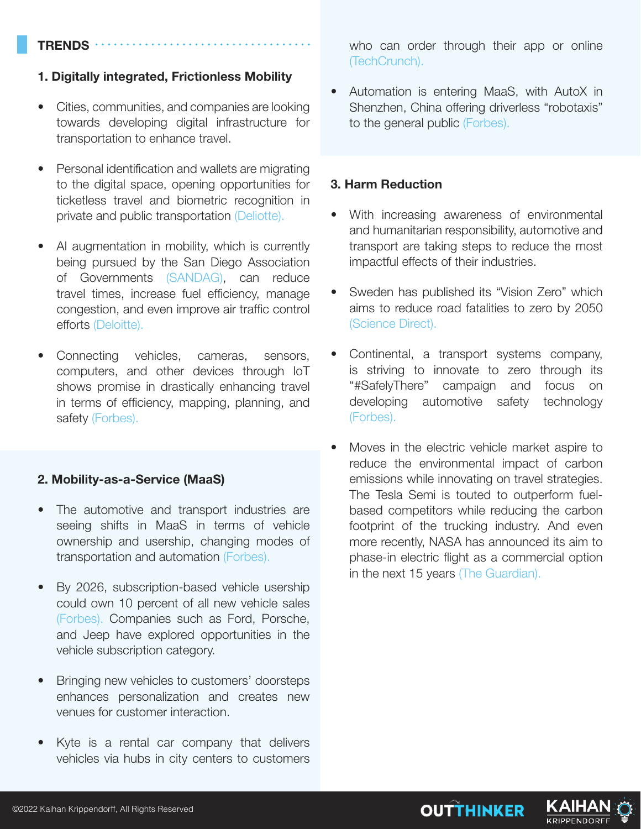#### **TRENDS**

#### **1. Digitally integrated, Frictionless Mobility**

- Cities, communities, and companies are looking towards developing digital infrastructure for transportation to enhance travel.
- Personal identification and wallets are migrating to the digital space, opening opportunities for ticketless travel and biometric recognition in private and public transportation (Deliotte).
- AI augmentation in mobility, which is currently being pursued by the San Diego Association of Governments (SANDAG), can reduce travel times, increase fuel efficiency, manage congestion, and even improve air traffic control efforts (Deloitte).
- Connecting vehicles, cameras, sensors, computers, and other devices through IoT shows promise in drastically enhancing travel in terms of efficiency, mapping, planning, and safety (Forbes).

#### **2. Mobility-as-a-Service (MaaS)**

- The automotive and transport industries are seeing shifts in MaaS in terms of vehicle ownership and usership, changing modes of transportation and automation (Forbes).
- By 2026, subscription-based vehicle usership could own 10 percent of all new vehicle sales (Forbes). Companies such as Ford, Porsche, and Jeep have explored opportunities in the vehicle subscription category.
- Bringing new vehicles to customers' doorsteps enhances personalization and creates new venues for customer interaction.
- Kyte is a rental car company that delivers vehicles via hubs in city centers to customers

who can order through their app or online (TechCrunch).

• Automation is entering MaaS, with AutoX in Shenzhen, China offering driverless "robotaxis" to the general public (Forbes).

#### **3. Harm Reduction**

- With increasing awareness of environmental and humanitarian responsibility, automotive and transport are taking steps to reduce the most impactful effects of their industries.
- Sweden has published its "Vision Zero" which aims to reduce road fatalities to zero by 2050 (Science Direct).
- Continental, a transport systems company, is striving to innovate to zero through its "#SafelyThere" campaign and focus on developing automotive safety technology (Forbes).
- Moves in the electric vehicle market aspire to reduce the environmental impact of carbon emissions while innovating on travel strategies. The Tesla Semi is touted to outperform fuelbased competitors while reducing the carbon footprint of the trucking industry. And even more recently, NASA has announced its aim to phase-in electric flight as a commercial option in the next 15 years (The Guardian).

**OUTTHINKER** 

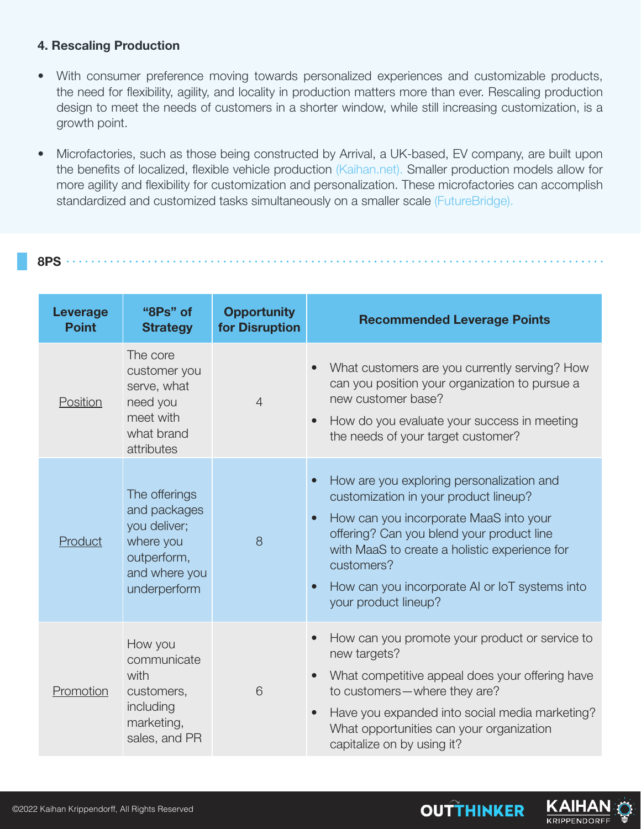#### **4. Rescaling Production**

- With consumer preference moving towards personalized experiences and customizable products, the need for flexibility, agility, and locality in production matters more than ever. Rescaling production design to meet the needs of customers in a shorter window, while still increasing customization, is a growth point.
- Microfactories, such as those being constructed by Arrival, a UK-based, EV company, are built upon the benefits of localized, flexible vehicle production (Kaihan.net). Smaller production models allow for more agility and flexibility for customization and personalization. These microfactories can accomplish standardized and customized tasks simultaneously on a smaller scale (FutureBridge).

#### **8PS**

| <b>Leverage</b><br><b>Point</b> | "8Ps" of<br><b>Strategy</b>                                                                                | <b>Opportunity</b><br>for Disruption | <b>Recommended Leverage Points</b>                                                                                                                                                                                                                                                                                                                        |
|---------------------------------|------------------------------------------------------------------------------------------------------------|--------------------------------------|-----------------------------------------------------------------------------------------------------------------------------------------------------------------------------------------------------------------------------------------------------------------------------------------------------------------------------------------------------------|
| Position                        | The core<br>customer you<br>serve, what<br>need you<br>meet with<br>what brand<br>attributes               | $\overline{4}$                       | What customers are you currently serving? How<br>can you position your organization to pursue a<br>new customer base?<br>How do you evaluate your success in meeting<br>$\bullet$<br>the needs of your target customer?                                                                                                                                   |
| Product                         | The offerings<br>and packages<br>you deliver;<br>where you<br>outperform,<br>and where you<br>underperform | 8                                    | How are you exploring personalization and<br>$\bullet$<br>customization in your product lineup?<br>How can you incorporate MaaS into your<br>$\bullet$<br>offering? Can you blend your product line<br>with MaaS to create a holistic experience for<br>customers?<br>How can you incorporate AI or IoT systems into<br>$\bullet$<br>your product lineup? |
| Promotion                       | How you<br>communicate<br>with<br>customers,<br>including<br>marketing,<br>sales, and PR                   | 6                                    | How can you promote your product or service to<br>$\bullet$<br>new targets?<br>What competitive appeal does your offering have<br>to customers-where they are?<br>Have you expanded into social media marketing?<br>$\bullet$<br>What opportunities can your organization<br>capitalize on by using it?                                                   |

**OUTTHINKER** 

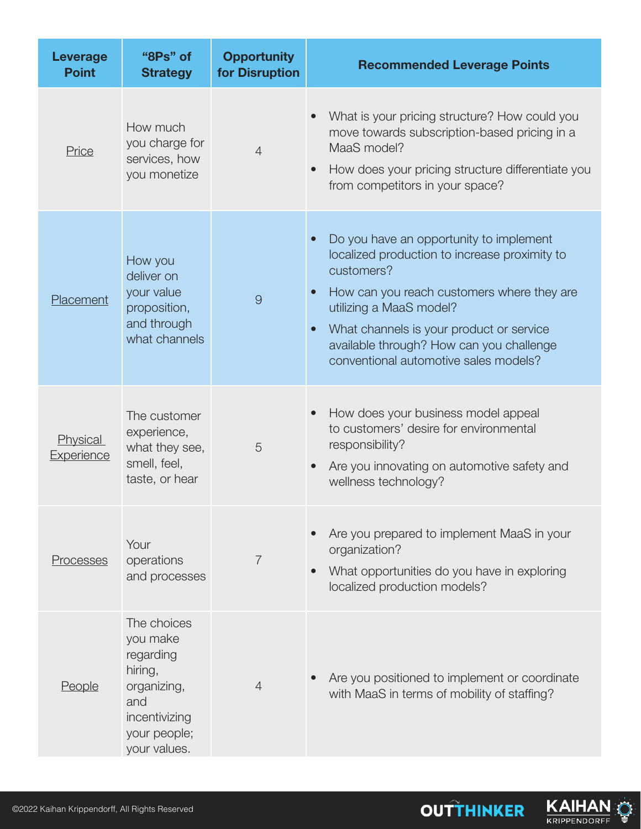| <b>Leverage</b><br><b>Point</b> | "8Ps" of<br><b>Strategy</b>                                                                                            | <b>Opportunity</b><br>for Disruption | <b>Recommended Leverage Points</b>                                                                                                                                                                                                                                                                                                         |
|---------------------------------|------------------------------------------------------------------------------------------------------------------------|--------------------------------------|--------------------------------------------------------------------------------------------------------------------------------------------------------------------------------------------------------------------------------------------------------------------------------------------------------------------------------------------|
| Price                           | How much<br>you charge for<br>services, how<br>you monetize                                                            | $\overline{4}$                       | What is your pricing structure? How could you<br>move towards subscription-based pricing in a<br>MaaS model?<br>How does your pricing structure differentiate you<br>$\bullet$<br>from competitors in your space?                                                                                                                          |
| Placement                       | How you<br>deliver on<br>your value<br>proposition,<br>and through<br>what channels                                    | 9                                    | Do you have an opportunity to implement<br>localized production to increase proximity to<br>customers?<br>How can you reach customers where they are<br>$\bullet$<br>utilizing a MaaS model?<br>What channels is your product or service<br>$\bullet$<br>available through? How can you challenge<br>conventional automotive sales models? |
| Physical<br>Experience          | The customer<br>experience,<br>what they see,<br>smell, feel,<br>taste, or hear                                        | 5                                    | How does your business model appeal<br>to customers' desire for environmental<br>responsibility?<br>Are you innovating on automotive safety and<br>wellness technology?                                                                                                                                                                    |
| Processes                       | Your<br>operations<br>and processes                                                                                    | $\overline{7}$                       | Are you prepared to implement MaaS in your<br>organization?<br>What opportunities do you have in exploring<br>localized production models?                                                                                                                                                                                                 |
| <b>People</b>                   | The choices<br>you make<br>regarding<br>hiring,<br>organizing,<br>and<br>incentivizing<br>your people;<br>your values. | $\overline{4}$                       | Are you positioned to implement or coordinate<br>with MaaS in terms of mobility of staffing?                                                                                                                                                                                                                                               |